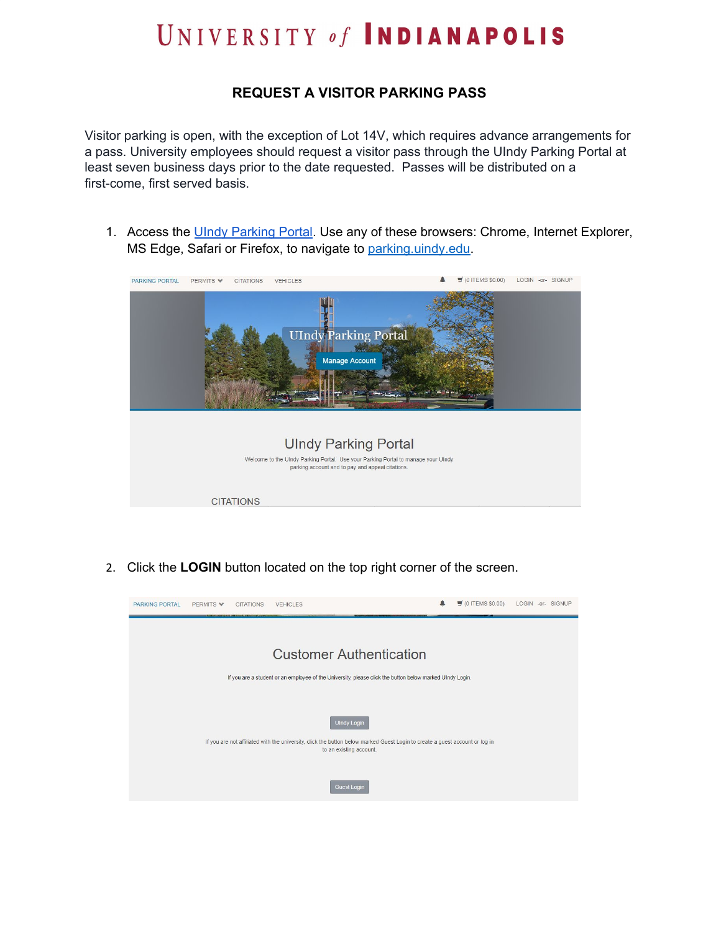## UNIVERSITY of INDIANAPOLIS

## **REQUEST A VISITOR PARKING PASS**

Visitor parking is open, with the exception of Lot 14V, which requires advance arrangements for a pass. University employees should request a visitor pass through the UIndy Parking Portal at least seven business days prior to the date requested. Passes will be distributed on a first-come, first served basis.

1. Access the UIndy [Parking](http://parking.uindy.edu/) Portal. Use any of these browsers: Chrome, Internet Explorer, MS Edge, Safari or Firefox, to navigate to parking uindy edu.



2. Click the **LOGIN** button located on the top right corner of the screen.

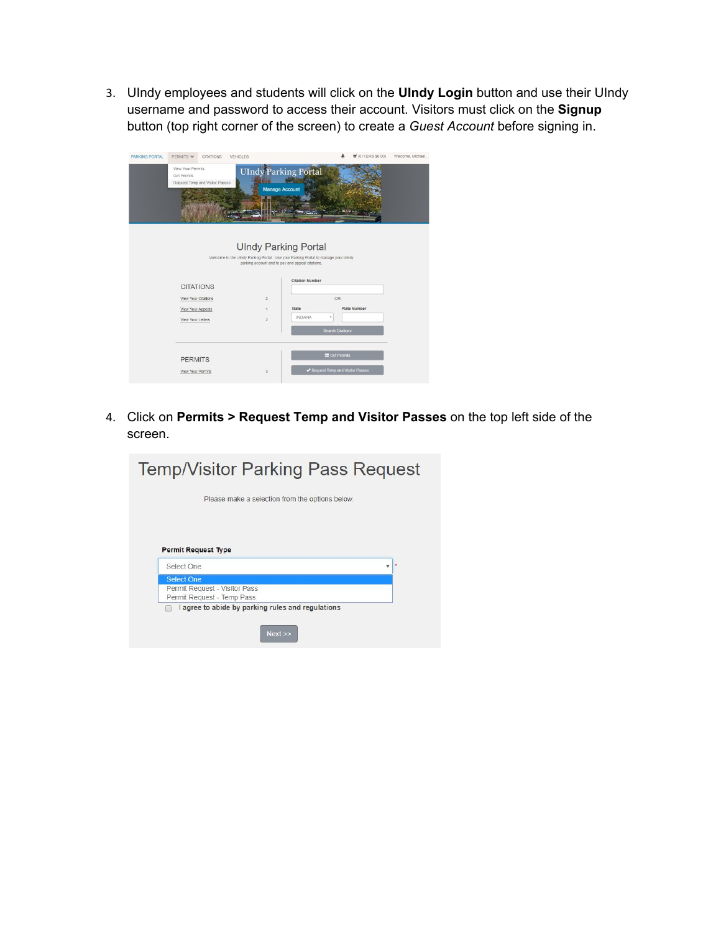3. UIndy employees and students will click on the **UIndy Login** button and use their UIndy username and password to access their account. Visitors must click on the **Signup** button (top right corner of the screen) to create a *Guest Account* before signing in.

| PARKING PORTAL | PERMITS V                        | <b>CITATIONS</b>                | VEHICLES |                       |                                                                                                                                                                                                |                                 | $\equiv$ (0 ITEMS \$0.00) | Welcome, Michael |
|----------------|----------------------------------|---------------------------------|----------|-----------------------|------------------------------------------------------------------------------------------------------------------------------------------------------------------------------------------------|---------------------------------|---------------------------|------------------|
|                | View Your Permits<br>Get Permits | Request Temp and Visitor Passes |          | <b>Manage Account</b> | <b>UIndy Parking Portal</b>                                                                                                                                                                    |                                 |                           |                  |
|                |                                  |                                 |          |                       | <b>UIndy Parking Portal</b><br>Welcome to the Ulndy Parking Portal. Use your Parking Portal to manage your Ulndy<br>parking account and to pay and appeal citations.<br><b>Citation Number</b> |                                 |                           |                  |
|                | <b>CITATIONS</b>                 |                                 |          |                       |                                                                                                                                                                                                |                                 |                           |                  |
|                | View Your Citations              |                                 |          | $\overline{2}$        |                                                                                                                                                                                                | $OR-$                           |                           |                  |
|                | View Your Appeals                |                                 |          | 1                     | <b>State</b>                                                                                                                                                                                   |                                 | Plate Number              |                  |
|                | View Your Letters                |                                 |          | $\overline{2}$        | <b>INDIANA</b>                                                                                                                                                                                 | ٠<br><b>Search Citations</b>    |                           |                  |
|                | <b>PERMITS</b>                   |                                 |          |                       |                                                                                                                                                                                                | <b>IE</b> Get Permits           |                           |                  |
|                | View Your Permits                |                                 |          | 3                     |                                                                                                                                                                                                | Request Temp and Visitor Passes |                           |                  |

4. Click on **Permits > Request Temp and Visitor Passes** on the top left side of the screen.

| Please make a selection from the options below.             | Temp/Visitor Parking Pass Request |         |
|-------------------------------------------------------------|-----------------------------------|---------|
|                                                             |                                   |         |
|                                                             |                                   |         |
|                                                             |                                   |         |
|                                                             |                                   |         |
| <b>Permit Request Type</b>                                  |                                   | $\star$ |
| Select One                                                  |                                   |         |
| <b>Select One</b>                                           |                                   |         |
| Permit Request - Visitor Pass<br>Permit Request - Temp Pass |                                   |         |
| I agree to abide by parking rules and regulations           |                                   |         |
|                                                             |                                   |         |